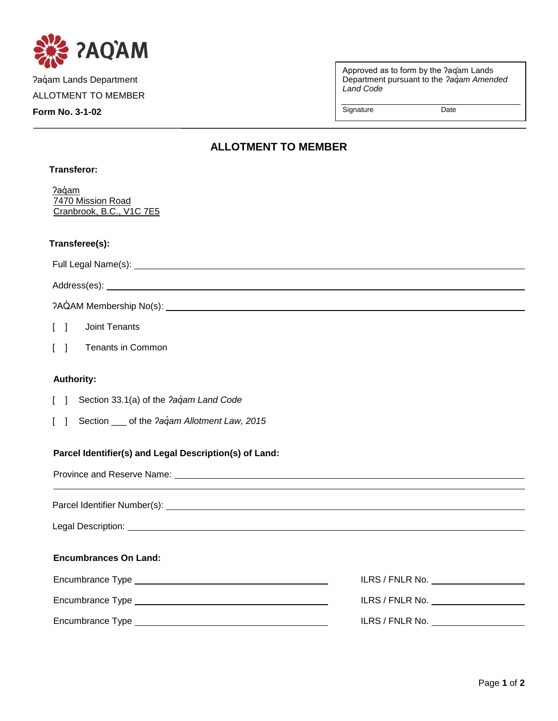

Paqam Lands Department ALLOTMENT TO MEMBER

**Form No. 3-1-02**

**Transferor:**

Approved as to form by the ʔaq̓am Lands Department pursuant to the *ʔaq̓am Amended Land Code*

Signature Date

## **ALLOTMENT TO MEMBER**

| Pagam<br>7470 Mission Road<br>Cranbrook, B.C., V1C 7E5                                                                                                                                                                         |                 |
|--------------------------------------------------------------------------------------------------------------------------------------------------------------------------------------------------------------------------------|-----------------|
| Transferee(s):                                                                                                                                                                                                                 |                 |
|                                                                                                                                                                                                                                |                 |
|                                                                                                                                                                                                                                |                 |
|                                                                                                                                                                                                                                |                 |
| Joint Tenants<br>$\begin{bmatrix} 1 \end{bmatrix}$                                                                                                                                                                             |                 |
| $\lceil \; \rceil$<br><b>Tenants in Common</b>                                                                                                                                                                                 |                 |
| <b>Authority:</b>                                                                                                                                                                                                              |                 |
| Section 33.1(a) of the ?aqam Land Code<br>$\Box$<br>-1                                                                                                                                                                         |                 |
| Section ____ of the ?aqam Allotment Law, 2015<br>$\mathbf{L}$                                                                                                                                                                  |                 |
| Parcel Identifier(s) and Legal Description(s) of Land:                                                                                                                                                                         |                 |
|                                                                                                                                                                                                                                |                 |
| Parcel Identifier Number(s): Letter and the contract of the contract of the contract of the contract of the contract of the contract of the contract of the contract of the contract of the contract of the contract of the co |                 |
|                                                                                                                                                                                                                                |                 |
| <b>Encumbrances On Land:</b>                                                                                                                                                                                                   |                 |
|                                                                                                                                                                                                                                |                 |
|                                                                                                                                                                                                                                |                 |
|                                                                                                                                                                                                                                | ILRS / FNLR No. |